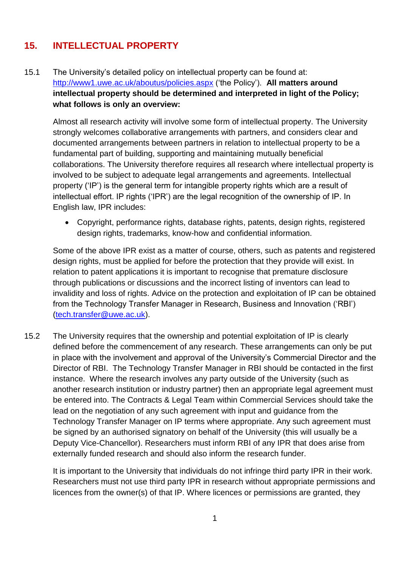## **15. INTELLECTUAL PROPERTY**

15.1 The University's detailed policy on intellectual property can be found at: <http://www1.uwe.ac.uk/aboutus/policies.aspx> ('the Policy'). **All matters around intellectual property should be determined and interpreted in light of the Policy; what follows is only an overview:**

Almost all research activity will involve some form of intellectual property. The University strongly welcomes collaborative arrangements with partners, and considers clear and documented arrangements between partners in relation to intellectual property to be a fundamental part of building, supporting and maintaining mutually beneficial collaborations. The University therefore requires all research where intellectual property is involved to be subject to adequate legal arrangements and agreements. Intellectual property ('IP') is the general term for intangible property rights which are a result of intellectual effort. IP rights ('IPR') are the legal recognition of the ownership of IP. In English law, IPR includes:

 Copyright, performance rights, database rights, patents, design rights, registered design rights, trademarks, know-how and confidential information.

Some of the above IPR exist as a matter of course, others, such as patents and registered design rights, must be applied for before the protection that they provide will exist. In relation to patent applications it is important to recognise that premature disclosure through publications or discussions and the incorrect listing of inventors can lead to invalidity and loss of rights. Advice on the protection and exploitation of IP can be obtained from the Technology Transfer Manager in Research, Business and Innovation ('RBI') [\(tech.transfer@uwe.ac.uk\)](mailto:tech.transfer@uwe.ac.uk).

15.2 The University requires that the ownership and potential exploitation of IP is clearly defined before the commencement of any research. These arrangements can only be put in place with the involvement and approval of the University's Commercial Director and the Director of RBI. The Technology Transfer Manager in RBI should be contacted in the first instance. Where the research involves any party outside of the University (such as another research institution or industry partner) then an appropriate legal agreement must be entered into. The Contracts & Legal Team within Commercial Services should take the lead on the negotiation of any such agreement with input and guidance from the Technology Transfer Manager on IP terms where appropriate. Any such agreement must be signed by an authorised signatory on behalf of the University (this will usually be a Deputy Vice-Chancellor). Researchers must inform RBI of any IPR that does arise from externally funded research and should also inform the research funder.

It is important to the University that individuals do not infringe third party IPR in their work. Researchers must not use third party IPR in research without appropriate permissions and licences from the owner(s) of that IP. Where licences or permissions are granted, they